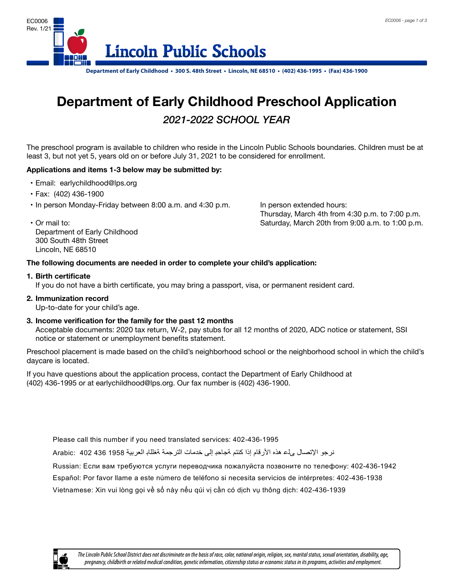

**Department of Early Childhood** 

# **Department of Early Childhood Preschool Application Extended Hours:** *2021-2022 SCHOOL YEAR*

The preschool program is available to children who reside in the Lincoln Public Schools boundaries. Children must be at **Bigger Conservative program to disturbance to character into the case of the considered for enrollment.**<br>least 3, but not yet 5, years old on or before July 31, 2021 to be considered for enrollment.

## **Applications and items 1-3 below may be submitted by:**

- • Email: earlychildhood@lps.org
- **The following documents are needed in order to complete your child's application:** • Fax: (402) 436-1900
- **1. Certified birth certificate** • In person Monday-Friday between 8:00 a.m. and 4:30 p.m. In person extended hours:

• Or mail to: **include a participate a certificate birth certified birth certificate** Saturday, March 20th from 9:00 a.m. to 1:00 p.m. Thursday, March 4th from 4:30 p.m. to 7:00 p.m.

Department of Early Childhood **2. Immunization record** 300 South 48th Street Lincoln, NE 68510

### $\overline{C}$  Up to date for  $\overline{C}$  and  $\overline{C}$  age. **3. Income verification for the family for the past 12months The following documents are needed in order to complete your child's application:**

#### $\bullet$  Acceptable documents:  $2019$  tax return,  $\bullet$   $2019$  tax return,  $\bullet$   $2019$  to  $2019$ **1. Birth certificate**

If you do not have a birth certificate, you may bring a passport, visa, or permanent resident card.

**2. Immunization record**

Up-to-date for your child's age.

**Preschool placement is made based on the child's neighborhood school or the 3. Income verification for the family for the past 12 months**

Acceptable documents: 2020 tax return, W-2, pay stubs for all 12 months of 2020, ADC notice or statement, SSI notice or statement or unemployment benefits statement.

Preschool placement is made based on the child's neighborhood school or the neighborhood school in which the child's **Childhood at 402-436-1995 or at earlychildhood@lps.org. Our fax number is** daycare is located.

**402-436-1900.** If you have questions about the application process, contact the Department of Early Childhood at (402) 436-1995 or at earlychildhood@lps.org. Our fax number is (402) 436-1900.

Please call this number if you need translated services: 402-436-1995

نرجو الإتصال <sub>ع</sub>لء هذه الأرقام إذا كنتم ةجاحد إلى خدمات الترجمة ةغللاب العربية 1958 402 402 .Arabic:

Russian: Если вам требуются услуги переводчика пожалуйста позвоните по телефону: 402-436-1942

Español: Por favor llame a este número de teléfono si necesita servicios de intérpretes: 402-436-1938 Vietnamese: Xin vui lòng gọi về số này nếu qúi vị cần có dịch vụ thông dịch: 402-436-1939

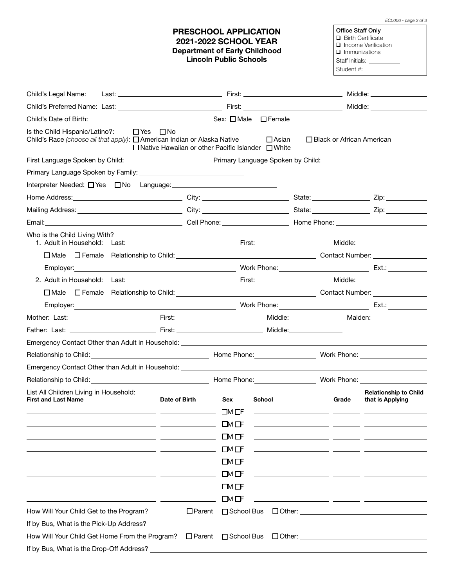| EC0006 - page 2 of 3 |  |  |  |  |
|----------------------|--|--|--|--|
|----------------------|--|--|--|--|

#### **PRESCHOOL APPLICATION 2021-2022 SCHOOL YEAR Department of Early Childhood Lincoln Public Schools**

Office Staff Only Birth Certificate n Income Verification **q** Immunizations Staff Initials: \_\_\_\_ Student #:

| Child's Legal Name:                                                                                                                                                                                                                  |               |                                              |                      |                                                                               | Middle: __________________                       |
|--------------------------------------------------------------------------------------------------------------------------------------------------------------------------------------------------------------------------------------|---------------|----------------------------------------------|----------------------|-------------------------------------------------------------------------------|--------------------------------------------------|
|                                                                                                                                                                                                                                      |               |                                              |                      |                                                                               | Middle: __________________                       |
|                                                                                                                                                                                                                                      |               |                                              |                      |                                                                               |                                                  |
| Is the Child Hispanic/Latino?:<br>$\Box$ Yes $\Box$ No<br>Child's Race (choose all that apply): $\Box$ American Indian or Alaska Native<br>$\Box$ Native Hawaiian or other Pacific Islander $\Box$ White                             |               |                                              | $\Box$ Asian         | $\Box$ Black or African American                                              |                                                  |
|                                                                                                                                                                                                                                      |               |                                              |                      |                                                                               |                                                  |
|                                                                                                                                                                                                                                      |               |                                              |                      |                                                                               |                                                  |
|                                                                                                                                                                                                                                      |               |                                              |                      |                                                                               |                                                  |
|                                                                                                                                                                                                                                      |               |                                              |                      |                                                                               |                                                  |
| Mailing Address: _________________________________City: __________________________State: ____________________Zip: _______________                                                                                                    |               |                                              |                      |                                                                               |                                                  |
|                                                                                                                                                                                                                                      |               |                                              |                      |                                                                               |                                                  |
| Who is the Child Living With?                                                                                                                                                                                                        |               |                                              |                      |                                                                               |                                                  |
|                                                                                                                                                                                                                                      |               |                                              |                      |                                                                               |                                                  |
|                                                                                                                                                                                                                                      |               |                                              |                      |                                                                               |                                                  |
| 2. Adult in Household: Last: Note and Society and Society and Society and Society and Society and Society and Society and Society and Society and Society and Society and Society and Society and Society and Society and Soci       |               |                                              |                      |                                                                               |                                                  |
|                                                                                                                                                                                                                                      |               |                                              |                      |                                                                               |                                                  |
| Employer: Ext.: Ext.: Ext.: Ext.: Ext.: Ext.: Ext.: Ext.: Ext.: Ext.: Ext.: Ext.: Ext.: Ext.: Ext.: Ext.: Ext                                                                                                                        |               |                                              |                      |                                                                               |                                                  |
|                                                                                                                                                                                                                                      |               |                                              |                      |                                                                               |                                                  |
|                                                                                                                                                                                                                                      |               |                                              |                      |                                                                               |                                                  |
|                                                                                                                                                                                                                                      |               |                                              |                      |                                                                               |                                                  |
| Relationship to Child: <u>Channel Child: Child: Child: Child: Child: Child: Child: Child: Child: Child: Child: Child: Child: Child: Child: Child: Child: Child: Child: Child: Child: Child: Child: Child: Child: Child: Child: C</u> |               |                                              |                      |                                                                               |                                                  |
| Emergency Contact Other than Adult in Household: Network and the state of the state of the state of the state of the state of the state of the state of the state of the state of the state of the state of the state of the s       |               |                                              |                      |                                                                               |                                                  |
| Relationship to Child: The Child Community Control of Child Community Community Community Community Community Community Community Community Community Community Community Community Community Community Community Community Co       |               |                                              |                      |                                                                               |                                                  |
| List All Children Living in Household:<br><b>First and Last Name</b><br><u> 1999 - Johann Stein, mars et al. (</u> † 1911)                                                                                                           | Date of Birth | Sex<br>$\square$ M $\square$ F<br>ᄗᄳᄄ        | School               | Grade<br><u> 1989 - Andrea Andrew Maria (h. 1989).</u>                        | <b>Relationship to Child</b><br>that is Applying |
|                                                                                                                                                                                                                                      |               | LM OF                                        |                      |                                                                               |                                                  |
|                                                                                                                                                                                                                                      |               | $\square$ M $\square$ F                      |                      |                                                                               |                                                  |
|                                                                                                                                                                                                                                      |               | $\Box$ M $\Box$ F                            |                      |                                                                               |                                                  |
|                                                                                                                                                                                                                                      |               | $\Box M \Box F$                              |                      |                                                                               |                                                  |
|                                                                                                                                                                                                                                      |               | $\square$ M $\square$ F<br>$\Box$ M $\Box$ F |                      | <u> 1989 - Jan Barnett, fransk politik</u><br><u> 1989 - Jan Alexandria (</u> |                                                  |
| How Will Your Child Get to the Program?                                                                                                                                                                                              | $\Box$ Parent | □ School Bus                                 |                      |                                                                               | $\Box$ Other: $\qquad \qquad$                    |
| If by Bus, What is the Pick-Up Address?                                                                                                                                                                                              |               |                                              |                      |                                                                               |                                                  |
| How Will Your Child Get Home From the Program?                                                                                                                                                                                       |               | □ Parent □ School Bus                        | $\Box$ Other: $\Box$ |                                                                               |                                                  |
| If by Bus, What is the Drop-Off Address?                                                                                                                                                                                             |               |                                              |                      |                                                                               |                                                  |